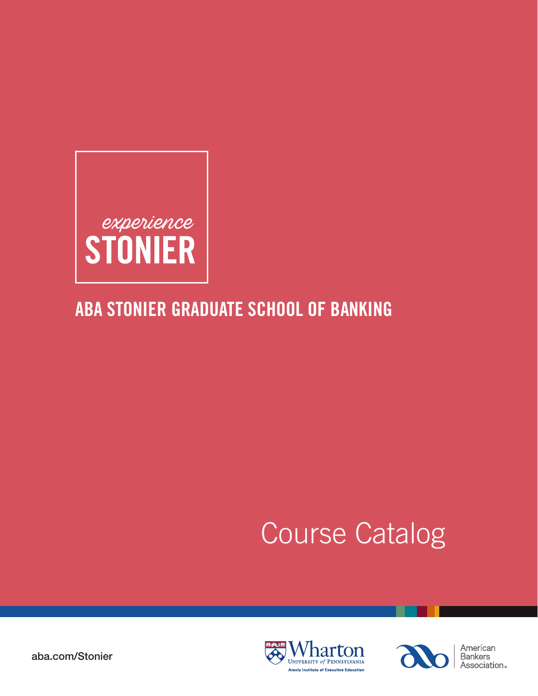

## ABA STONIER GRADUATE SCHOOL OF BANKING

# Course Catalog





American **Bankers** Association.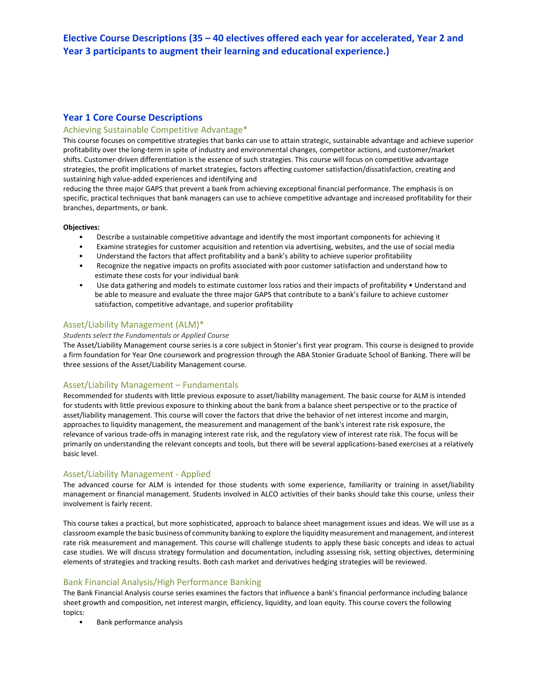## **Year 1 Core Course Descriptions**

## Achieving Sustainable Competitive Advantage\*

This course focuses on competitive strategies that banks can use to attain strategic, sustainable advantage and achieve superior profitability over the long-term in spite of industry and environmental changes, competitor actions, and customer/market shifts. Customer-driven differentiation is the essence of such strategies. This course will focus on competitive advantage strategies, the profit implications of market strategies, factors affecting customer satisfaction/dissatisfaction, creating and sustaining high value-added experiences and identifying and

reducing the three major GAPS that prevent a bank from achieving exceptional financial performance. The emphasis is on specific, practical techniques that bank managers can use to achieve competitive advantage and increased profitability for their branches, departments, or bank.

## **Objectives:**

- Describe a sustainable competitive advantage and identify the most important components for achieving it
- Examine strategies for customer acquisition and retention via advertising, websites, and the use of social media
- Understand the factors that affect profitability and a bank's ability to achieve superior profitability
- Recognize the negative impacts on profits associated with poor customer satisfaction and understand how to estimate these costs for your individual bank
- Use data gathering and models to estimate customer loss ratios and their impacts of profitability Understand and be able to measure and evaluate the three major GAPS that contribute to a bank's failure to achieve customer satisfaction, competitive advantage, and superior profitability

## Asset/Liability Management (ALM)\*

## *Students select the Fundamentals or Applied Course*

The Asset/Liability Management course series is a core subject in Stonier's first year program. This course is designed to provide a firm foundation for Year One coursework and progression through the ABA Stonier Graduate School of Banking. There will be three sessions of the Asset/Liability Management course.

## Asset/Liability Management – Fundamentals

Recommended for students with little previous exposure to asset/liability management. The basic course for ALM is intended for students with little previous exposure to thinking about the bank from a balance sheet perspective or to the practice of asset/liability management. This course will cover the factors that drive the behavior of net interest income and margin, approaches to liquidity management, the measurement and management of the bank's interest rate risk exposure, the relevance of various trade-offs in managing interest rate risk, and the regulatory view of interest rate risk. The focus will be primarily on understanding the relevant concepts and tools, but there will be several applications-based exercises at a relatively basic level.

## Asset/Liability Management - Applied

The advanced course for ALM is intended for those students with some experience, familiarity or training in asset/liability management or financial management. Students involved in ALCO activities of their banks should take this course, unless their involvement is fairly recent.

This course takes a practical, but more sophisticated, approach to balance sheet management issues and ideas. We will use as a classroom example the basic business of community banking to explore the liquidity measurement and management, and interest rate risk measurement and management. This course will challenge students to apply these basic concepts and ideas to actual case studies. We will discuss strategy formulation and documentation, including assessing risk, setting objectives, determining elements of strategies and tracking results. Both cash market and derivatives hedging strategies will be reviewed.

## Bank Financial Analysis/High Performance Banking

The Bank Financial Analysis course series examines the factors that influence a bank's financial performance including balance sheet growth and composition, net interest margin, efficiency, liquidity, and loan equity. This course covers the following topics:

• Bank performance analysis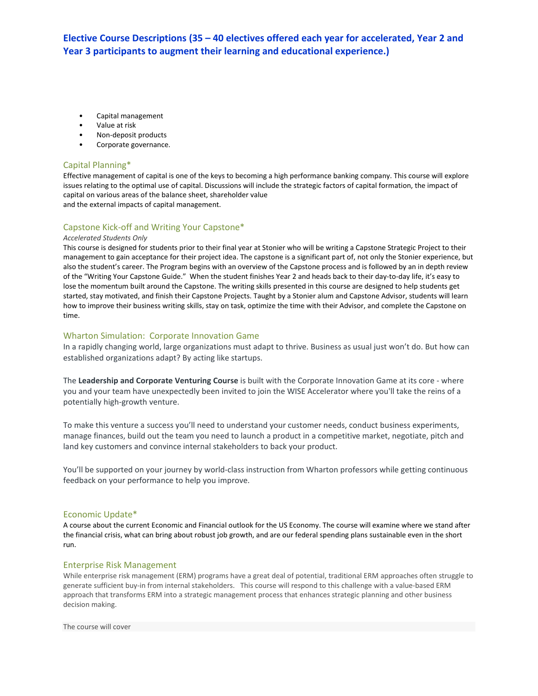- Capital management
- Value at risk
- Non-deposit products
- Corporate governance.

## Capital Planning\*

Effective management of capital is one of the keys to becoming a high performance banking company. This course will explore issues relating to the optimal use of capital. Discussions will include the strategic factors of capital formation, the impact of capital on various areas of the balance sheet, shareholder value and the external impacts of capital management.

## Capstone Kick-off and Writing Your Capstone\*

## *Accelerated Students Only*

This course is designed for students prior to their final year at Stonier who will be writing a Capstone Strategic Project to their management to gain acceptance for their project idea. The capstone is a significant part of, not only the Stonier experience, but also the student's career. The Program begins with an overview of the Capstone process and is followed by an in depth review of the "Writing Your Capstone Guide." When the student finishes Year 2 and heads back to their day-to-day life, it's easy to lose the momentum built around the Capstone. The writing skills presented in this course are designed to help students get started, stay motivated, and finish their Capstone Projects. Taught by a Stonier alum and Capstone Advisor, students will learn how to improve their business writing skills, stay on task, optimize the time with their Advisor, and complete the Capstone on time.

## Wharton Simulation: Corporate Innovation Game

In a rapidly changing world, large organizations must adapt to thrive. Business as usual just won't do. But how can established organizations adapt? By acting like startups.

The **Leadership and Corporate Venturing Course** is built with the Corporate Innovation Game at its core - where you and your team have unexpectedly been invited to join the WISE Accelerator where you'll take the reins of a potentially high-growth venture.

To make this venture a success you'll need to understand your customer needs, conduct business experiments, manage finances, build out the team you need to launch a product in a competitive market, negotiate, pitch and land key customers and convince internal stakeholders to back your product.

You'll be supported on your journey by world-class instruction from Wharton professors while getting continuous feedback on your performance to help you improve.

## Economic Update\*

A course about the current Economic and Financial outlook for the US Economy. The course will examine where we stand after the financial crisis, what can bring about robust job growth, and are our federal spending plans sustainable even in the short run.

## Enterprise Risk Management

While enterprise risk management (ERM) programs have a great deal of potential, traditional ERM approaches often struggle to generate sufficient buy-in from internal stakeholders. This course will respond to this challenge with a value-based ERM approach that transforms ERM into a strategic management process that enhances strategic planning and other business decision making.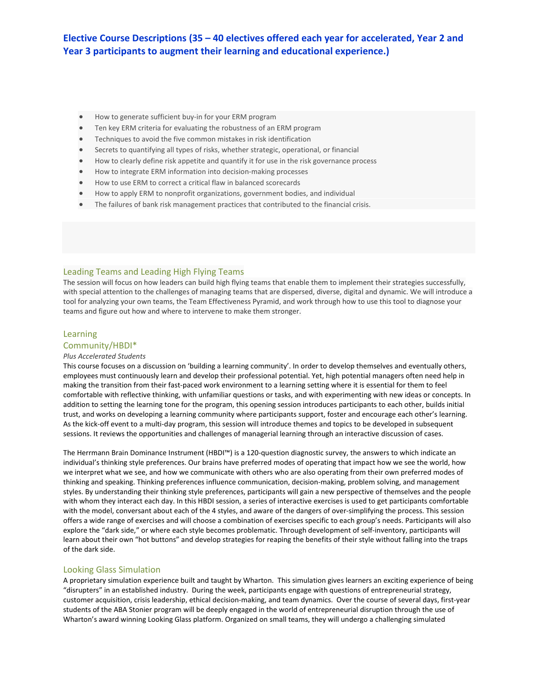- How to generate sufficient buy-in for your ERM program
- Ten key ERM criteria for evaluating the robustness of an ERM program
- Techniques to avoid the five common mistakes in risk identification
- Secrets to quantifying all types of risks, whether strategic, operational, or financial
- How to clearly define risk appetite and quantify it for use in the risk governance process
- How to integrate ERM information into decision-making processes
- How to use ERM to correct a critical flaw in balanced scorecards
- How to apply ERM to nonprofit organizations, government bodies, and individual
- The failures of bank risk management practices that contributed to the financial crisis.

## Leading Teams and Leading High Flying Teams

The session will focus on how leaders can build high flying teams that enable them to implement their strategies successfully, with special attention to the challenges of managing teams that are dispersed, diverse, digital and dynamic. We will introduce a tool for analyzing your own teams, the Team Effectiveness Pyramid, and work through how to use this tool to diagnose your teams and figure out how and where to intervene to make them stronger.

## Learning

## Community/HBDI\*

#### *Plus Accelerated Students*

This course focuses on a discussion on 'building a learning community'. In order to develop themselves and eventually others, employees must continuously learn and develop their professional potential. Yet, high potential managers often need help in making the transition from their fast-paced work environment to a learning setting where it is essential for them to feel comfortable with reflective thinking, with unfamiliar questions or tasks, and with experimenting with new ideas or concepts. In addition to setting the learning tone for the program, this opening session introduces participants to each other, builds initial trust, and works on developing a learning community where participants support, foster and encourage each other's learning. As the kick-off event to a multi-day program, this session will introduce themes and topics to be developed in subsequent sessions. It reviews the opportunities and challenges of managerial learning through an interactive discussion of cases.

The Herrmann Brain Dominance Instrument (HBDI™) is a 120-question diagnostic survey, the answers to which indicate an individual's thinking style preferences. Our brains have preferred modes of operating that impact how we see the world, how we interpret what we see, and how we communicate with others who are also operating from their own preferred modes of thinking and speaking. Thinking preferences influence communication, decision-making, problem solving, and management styles. By understanding their thinking style preferences, participants will gain a new perspective of themselves and the people with whom they interact each day. In this HBDI session, a series of interactive exercises is used to get participants comfortable with the model, conversant about each of the 4 styles, and aware of the dangers of over-simplifying the process. This session offers a wide range of exercises and will choose a combination of exercises specific to each group's needs. Participants will also explore the "dark side," or where each style becomes problematic. Through development of self-inventory, participants will learn about their own "hot buttons" and develop strategies for reaping the benefits of their style without falling into the traps of the dark side.

## Looking Glass Simulation

A proprietary simulation experience built and taught by Wharton. This simulation gives learners an exciting experience of being "disrupters" in an established industry. During the week, participants engage with questions of entrepreneurial strategy, customer acquisition, crisis leadership, ethical decision-making, and team dynamics. Over the course of several days, first-year students of the ABA Stonier program will be deeply engaged in the world of entrepreneurial disruption through the use of Wharton's award winning Looking Glass platform. Organized on small teams, they will undergo a challenging simulated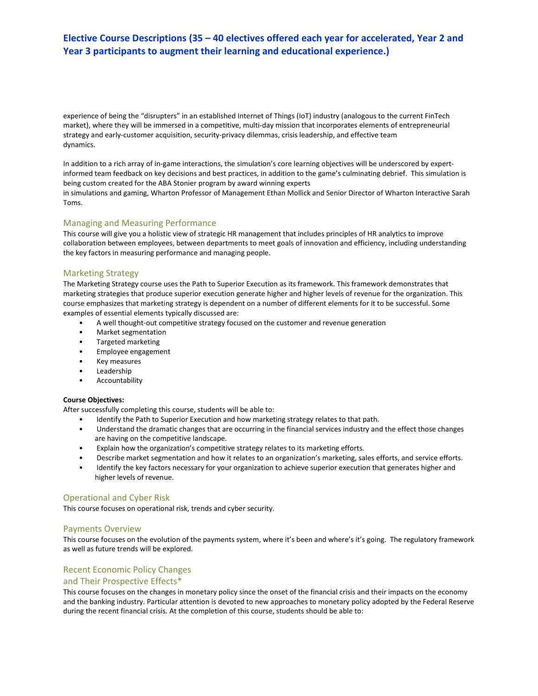experience of being the "disrupters" in an established Internet of Things (IoT) industry (analogous to the current FinTech market), where they will be immersed in a competitive, multi-day mission that incorporates elements of entrepreneurial strategy and early-customer acquisition, security-privacy dilemmas, crisis leadership, and effective team dynamics.

In addition to a rich array of in-game interactions, the simulation's core learning objectives will be underscored by expertinformed team feedback on key decisions and best practices, in addition to the game's culminating debrief. This simulation is being custom created for the ABA Stonier program by award winning experts

in simulations and gaming, Wharton Professor of Management Ethan Mollick and Senior Director of Wharton Interactive Sarah Toms.

## Managing and Measuring Performance

This course will give you a holistic view of strategic HR management that includes principles of HR analytics to improve collaboration between employees, between departments to meet goals of innovation and efficiency, including understanding the key factors in measuring performance and managing people.

## Marketing Strategy

The Marketing Strategy course uses the Path to Superior Execution as its framework. This framework demonstrates that marketing strategies that produce superior execution generate higher and higher levels of revenue for the organization. This course emphasizes that marketing strategy is dependent on a number of different elements for it to be successful. Some examples of essential elements typically discussed are:

- A well thought-out competitive strategy focused on the customer and revenue generation
- Market segmentation
- Targeted marketing
- Employee engagement
- Key measures
- Leadership
- Accountability

## **Course Objectives:**

After successfully completing this course, students will be able to:

- Identify the Path to Superior Execution and how marketing strategy relates to that path.
- Understand the dramatic changes that are occurring in the financial services industry and the effect those changes are having on the competitive landscape.
- Explain how the organization's competitive strategy relates to its marketing efforts.
- Describe market segmentation and how it relates to an organization's marketing, sales efforts, and service efforts.
- Identify the key factors necessary for your organization to achieve superior execution that generates higher and higher levels of revenue.

## Operational and Cyber Risk

This course focuses on operational risk, trends and cyber security.

## Payments Overview

This course focuses on the evolution of the payments system, where it's been and where's it's going. The regulatory framework as well as future trends will be explored.

## Recent Economic Policy Changes

## and Their Prospective Effects\*

This course focuses on the changes in monetary policy since the onset of the financial crisis and their impacts on the economy and the banking industry. Particular attention is devoted to new approaches to monetary policy adopted by the Federal Reserve during the recent financial crisis. At the completion of this course, students should be able to: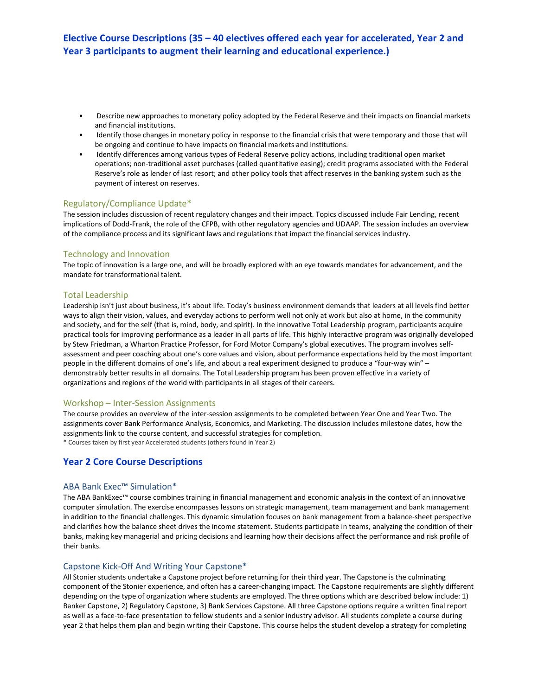- Describe new approaches to monetary policy adopted by the Federal Reserve and their impacts on financial markets and financial institutions.
- Identify those changes in monetary policy in response to the financial crisis that were temporary and those that will be ongoing and continue to have impacts on financial markets and institutions.
- Identify differences among various types of Federal Reserve policy actions, including traditional open market operations; non-traditional asset purchases (called quantitative easing); credit programs associated with the Federal Reserve's role as lender of last resort; and other policy tools that affect reserves in the banking system such as the payment of interest on reserves.

## Regulatory/Compliance Update\*

The session includes discussion of recent regulatory changes and their impact. Topics discussed include Fair Lending, recent implications of Dodd-Frank, the role of the CFPB, with other regulatory agencies and UDAAP. The session includes an overview of the compliance process and its significant laws and regulations that impact the financial services industry.

## Technology and Innovation

The topic of innovation is a large one, and will be broadly explored with an eye towards mandates for advancement, and the mandate for transformational talent.

## Total Leadership

Leadership isn't just about business, it's about life. Today's business environment demands that leaders at all levels find better ways to align their vision, values, and everyday actions to perform well not only at work but also at home, in the community and society, and for the self (that is, mind, body, and spirit). In the innovative Total Leadership program, participants acquire practical tools for improving performance as a leader in all parts of life. This highly interactive program was originally developed by Stew Friedman, a Wharton Practice Professor, for Ford Motor Company's global executives. The program involves selfassessment and peer coaching about one's core values and vision, about performance expectations held by the most important people in the different domains of one's life, and about a real experiment designed to produce a "four-way win" – demonstrably better results in all domains. The Total Leadership program has been proven effective in a variety of organizations and regions of the world with participants in all stages of their careers.

## Workshop – Inter-Session Assignments

The course provides an overview of the inter-session assignments to be completed between Year One and Year Two. The assignments cover Bank Performance Analysis, Economics, and Marketing. The discussion includes milestone dates, how the assignments link to the course content, and successful strategies for completion. \* Courses taken by first year Accelerated students (others found in Year 2)

## **Year 2 Core Course Descriptions**

## ABA Bank Exec™ Simulation\*

The ABA BankExec™ course combines training in financial management and economic analysis in the context of an innovative computer simulation. The exercise encompasses lessons on strategic management, team management and bank management in addition to the financial challenges. This dynamic simulation focuses on bank management from a balance-sheet perspective and clarifies how the balance sheet drives the income statement. Students participate in teams, analyzing the condition of their banks, making key managerial and pricing decisions and learning how their decisions affect the performance and risk profile of their banks.

## Capstone Kick-Off And Writing Your Capstone\*

All Stonier students undertake a Capstone project before returning for their third year. The Capstone is the culminating component of the Stonier experience, and often has a career-changing impact. The Capstone requirements are slightly different depending on the type of organization where students are employed. The three options which are described below include: 1) Banker Capstone, 2) Regulatory Capstone, 3) Bank Services Capstone. All three Capstone options require a written final report as well as a face-to-face presentation to fellow students and a senior industry advisor. All students complete a course during year 2 that helps them plan and begin writing their Capstone. This course helps the student develop a strategy for completing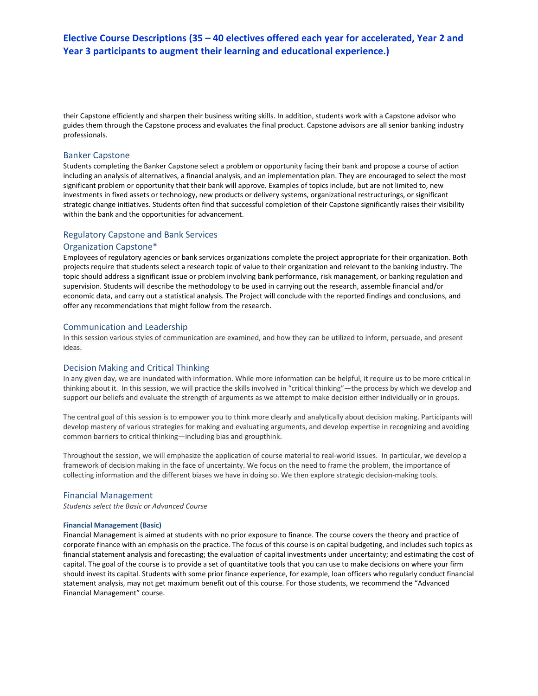their Capstone efficiently and sharpen their business writing skills. In addition, students work with a Capstone advisor who guides them through the Capstone process and evaluates the final product. Capstone advisors are all senior banking industry professionals.

## Banker Capstone

Students completing the Banker Capstone select a problem or opportunity facing their bank and propose a course of action including an analysis of alternatives, a financial analysis, and an implementation plan. They are encouraged to select the most significant problem or opportunity that their bank will approve. Examples of topics include, but are not limited to, new investments in fixed assets or technology, new products or delivery systems, organizational restructurings, or significant strategic change initiatives. Students often find that successful completion of their Capstone significantly raises their visibility within the bank and the opportunities for advancement.

## Regulatory Capstone and Bank Services

## Organization Capstone\*

Employees of regulatory agencies or bank services organizations complete the project appropriate for their organization. Both projects require that students select a research topic of value to their organization and relevant to the banking industry. The topic should address a significant issue or problem involving bank performance, risk management, or banking regulation and supervision. Students will describe the methodology to be used in carrying out the research, assemble financial and/or economic data, and carry out a statistical analysis. The Project will conclude with the reported findings and conclusions, and offer any recommendations that might follow from the research.

## Communication and Leadership

In this session various styles of communication are examined, and how they can be utilized to inform, persuade, and present ideas.

## Decision Making and Critical Thinking

In any given day, we are inundated with information. While more information can be helpful, it require us to be more critical in thinking about it. In this session, we will practice the skills involved in "critical thinking"—the process by which we develop and support our beliefs and evaluate the strength of arguments as we attempt to make decision either individually or in groups.

The central goal of this session is to empower you to think more clearly and analytically about decision making. Participants will develop mastery of various strategies for making and evaluating arguments, and develop expertise in recognizing and avoiding common barriers to critical thinking—including bias and groupthink.

Throughout the session, we will emphasize the application of course material to real-world issues. In particular, we develop a framework of decision making in the face of uncertainty. We focus on the need to frame the problem, the importance of collecting information and the different biases we have in doing so. We then explore strategic decision-making tools.

#### Financial Management

*Students select the Basic or Advanced Course*

#### **Financial Management (Basic)**

Financial Management is aimed at students with no prior exposure to finance. The course covers the theory and practice of corporate finance with an emphasis on the practice. The focus of this course is on capital budgeting, and includes such topics as financial statement analysis and forecasting; the evaluation of capital investments under uncertainty; and estimating the cost of capital. The goal of the course is to provide a set of quantitative tools that you can use to make decisions on where your firm should invest its capital. Students with some prior finance experience, for example, loan officers who regularly conduct financial statement analysis, may not get maximum benefit out of this course. For those students, we recommend the "Advanced Financial Management" course.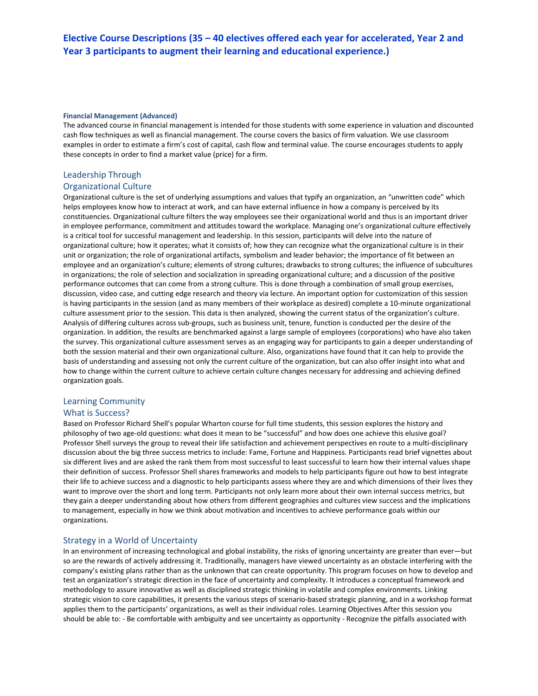#### **Financial Management (Advanced)**

The advanced course in financial management is intended for those students with some experience in valuation and discounted cash flow techniques as well as financial management. The course covers the basics of firm valuation. We use classroom examples in order to estimate a firm's cost of capital, cash flow and terminal value. The course encourages students to apply these concepts in order to find a market value (price) for a firm.

## Leadership Through

## Organizational Culture

Organizational culture is the set of underlying assumptions and values that typify an organization, an "unwritten code" which helps employees know how to interact at work, and can have external influence in how a company is perceived by its constituencies. Organizational culture filters the way employees see their organizational world and thus is an important driver in employee performance, commitment and attitudes toward the workplace. Managing one's organizational culture effectively is a critical tool for successful management and leadership. In this session, participants will delve into the nature of organizational culture; how it operates; what it consists of; how they can recognize what the organizational culture is in their unit or organization; the role of organizational artifacts, symbolism and leader behavior; the importance of fit between an employee and an organization's culture; elements of strong cultures; drawbacks to strong cultures; the influence of subcultures in organizations; the role of selection and socialization in spreading organizational culture; and a discussion of the positive performance outcomes that can come from a strong culture. This is done through a combination of small group exercises, discussion, video case, and cutting edge research and theory via lecture. An important option for customization of this session is having participants in the session (and as many members of their workplace as desired) complete a 10-minute organizational culture assessment prior to the session. This data is then analyzed, showing the current status of the organization's culture. Analysis of differing cultures across sub-groups, such as business unit, tenure, function is conducted per the desire of the organization. In addition, the results are benchmarked against a large sample of employees (corporations) who have also taken the survey. This organizational culture assessment serves as an engaging way for participants to gain a deeper understanding of both the session material and their own organizational culture. Also, organizations have found that it can help to provide the basis of understanding and assessing not only the current culture of the organization, but can also offer insight into what and how to change within the current culture to achieve certain culture changes necessary for addressing and achieving defined organization goals.

## Learning Community

## What is Success?

Based on Professor Richard Shell's popular Wharton course for full time students, this session explores the history and philosophy of two age-old questions: what does it mean to be "successful" and how does one achieve this elusive goal? Professor Shell surveys the group to reveal their life satisfaction and achievement perspectives en route to a multi-disciplinary discussion about the big three success metrics to include: Fame, Fortune and Happiness. Participants read brief vignettes about six different lives and are asked the rank them from most successful to least successful to learn how their internal values shape their definition of success. Professor Shell shares frameworks and models to help participants figure out how to best integrate their life to achieve success and a diagnostic to help participants assess where they are and which dimensions of their lives they want to improve over the short and long term. Participants not only learn more about their own internal success metrics, but they gain a deeper understanding about how others from different geographies and cultures view success and the implications to management, especially in how we think about motivation and incentives to achieve performance goals within our organizations.

## Strategy in a World of Uncertainty

In an environment of increasing technological and global instability, the risks of ignoring uncertainty are greater than ever—but so are the rewards of actively addressing it. Traditionally, managers have viewed uncertainty as an obstacle interfering with the company's existing plans rather than as the unknown that can create opportunity. This program focuses on how to develop and test an organization's strategic direction in the face of uncertainty and complexity. It introduces a conceptual framework and methodology to assure innovative as well as disciplined strategic thinking in volatile and complex environments. Linking strategic vision to core capabilities, it presents the various steps of scenario-based strategic planning, and in a workshop format applies them to the participants' organizations, as well as their individual roles. Learning Objectives After this session you should be able to: - Be comfortable with ambiguity and see uncertainty as opportunity - Recognize the pitfalls associated with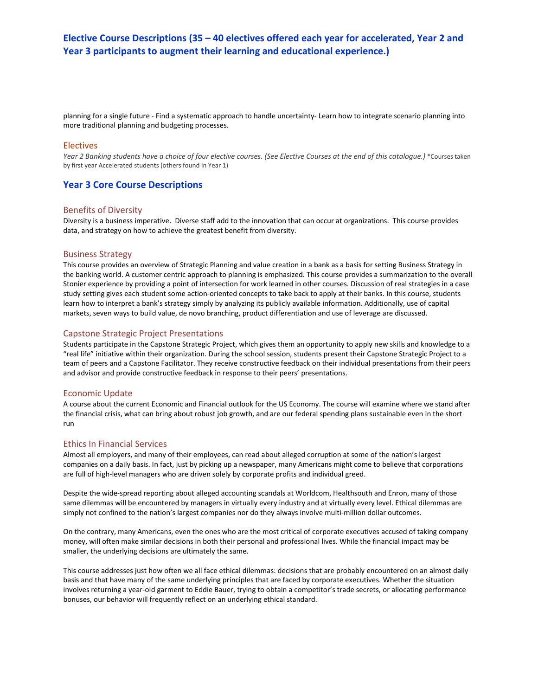planning for a single future - Find a systematic approach to handle uncertainty- Learn how to integrate scenario planning into more traditional planning and budgeting processes.

## Electives

*Year 2 Banking students have a choice of four elective courses. (See Elective Courses at the end of this catalogue.)* \*Courses taken by first year Accelerated students (others found in Year 1)

## **Year 3 Core Course Descriptions**

## Benefits of Diversity

Diversity is a business imperative. Diverse staff add to the innovation that can occur at organizations. This course provides data, and strategy on how to achieve the greatest benefit from diversity.

## Business Strategy

This course provides an overview of Strategic Planning and value creation in a bank as a basis for setting Business Strategy in the banking world. A customer centric approach to planning is emphasized. This course provides a summarization to the overall Stonier experience by providing a point of intersection for work learned in other courses. Discussion of real strategies in a case study setting gives each student some action-oriented concepts to take back to apply at their banks. In this course, students learn how to interpret a bank's strategy simply by analyzing its publicly available information. Additionally, use of capital markets, seven ways to build value, de novo branching, product differentiation and use of leverage are discussed.

## Capstone Strategic Project Presentations

Students participate in the Capstone Strategic Project, which gives them an opportunity to apply new skills and knowledge to a "real life" initiative within their organization. During the school session, students present their Capstone Strategic Project to a team of peers and a Capstone Facilitator. They receive constructive feedback on their individual presentations from their peers and advisor and provide constructive feedback in response to their peers' presentations.

## Economic Update

A course about the current Economic and Financial outlook for the US Economy. The course will examine where we stand after the financial crisis, what can bring about robust job growth, and are our federal spending plans sustainable even in the short run

## Ethics In Financial Services

Almost all employers, and many of their employees, can read about alleged corruption at some of the nation's largest companies on a daily basis. In fact, just by picking up a newspaper, many Americans might come to believe that corporations are full of high-level managers who are driven solely by corporate profits and individual greed.

Despite the wide-spread reporting about alleged accounting scandals at Worldcom, Healthsouth and Enron, many of those same dilemmas will be encountered by managers in virtually every industry and at virtually every level. Ethical dilemmas are simply not confined to the nation's largest companies nor do they always involve multi-million dollar outcomes.

On the contrary, many Americans, even the ones who are the most critical of corporate executives accused of taking company money, will often make similar decisions in both their personal and professional lives. While the financial impact may be smaller, the underlying decisions are ultimately the same.

This course addresses just how often we all face ethical dilemmas: decisions that are probably encountered on an almost daily basis and that have many of the same underlying principles that are faced by corporate executives. Whether the situation involves returning a year-old garment to Eddie Bauer, trying to obtain a competitor's trade secrets, or allocating performance bonuses, our behavior will frequently reflect on an underlying ethical standard.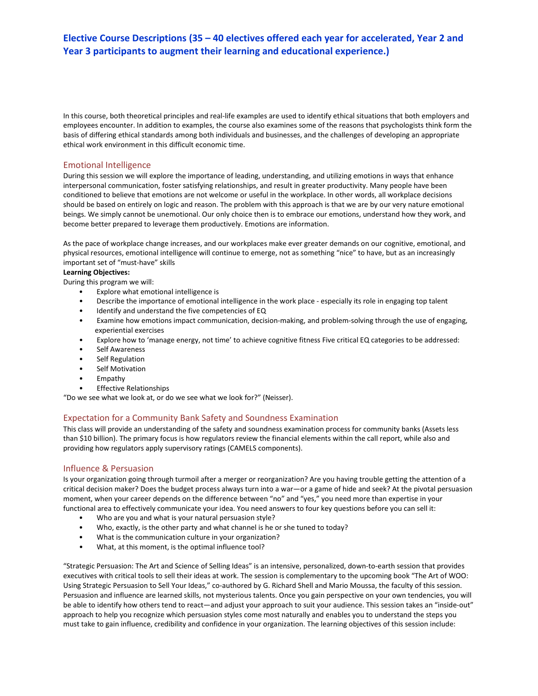In this course, both theoretical principles and real-life examples are used to identify ethical situations that both employers and employees encounter. In addition to examples, the course also examines some of the reasons that psychologists think form the basis of differing ethical standards among both individuals and businesses, and the challenges of developing an appropriate ethical work environment in this difficult economic time.

## Emotional Intelligence

During this session we will explore the importance of leading, understanding, and utilizing emotions in ways that enhance interpersonal communication, foster satisfying relationships, and result in greater productivity. Many people have been conditioned to believe that emotions are not welcome or useful in the workplace. In other words, all workplace decisions should be based on entirely on logic and reason. The problem with this approach is that we are by our very nature emotional beings. We simply cannot be unemotional. Our only choice then is to embrace our emotions, understand how they work, and become better prepared to leverage them productively. Emotions are information.

As the pace of workplace change increases, and our workplaces make ever greater demands on our cognitive, emotional, and physical resources, emotional intelligence will continue to emerge, not as something "nice" to have, but as an increasingly important set of "must-have" skills

## **Learning Objectives:**

During this program we will:

- Explore what emotional intelligence is
- Describe the importance of emotional intelligence in the work place especially its role in engaging top talent
- Identify and understand the five competencies of EQ
- Examine how emotions impact communication, decision-making, and problem-solving through the use of engaging, experiential exercises
- Explore how to 'manage energy, not time' to achieve cognitive fitness Five critical EQ categories to be addressed:
- Self Awareness
- Self Regulation
- Self Motivation
- Empathy
- Effective Relationships

"Do we see what we look at, or do we see what we look for?" (Neisser).

## Expectation for a Community Bank Safety and Soundness Examination

This class will provide an understanding of the safety and soundness examination process for community banks (Assets less than \$10 billion). The primary focus is how regulators review the financial elements within the call report, while also and providing how regulators apply supervisory ratings (CAMELS components).

## Influence & Persuasion

Is your organization going through turmoil after a merger or reorganization? Are you having trouble getting the attention of a critical decision maker? Does the budget process always turn into a war—or a game of hide and seek? At the pivotal persuasion moment, when your career depends on the difference between "no" and "yes," you need more than expertise in your functional area to effectively communicate your idea. You need answers to four key questions before you can sell it:

- Who are you and what is your natural persuasion style?
- Who, exactly, is the other party and what channel is he or she tuned to today?
- What is the communication culture in your organization?
- What, at this moment, is the optimal influence tool?

"Strategic Persuasion: The Art and Science of Selling Ideas" is an intensive, personalized, down-to-earth session that provides executives with critical tools to sell their ideas at work. The session is complementary to the upcoming book "The Art of WOO: Using Strategic Persuasion to Sell Your Ideas," co-authored by G. Richard Shell and Mario Moussa, the faculty of this session. Persuasion and influence are learned skills, not mysterious talents. Once you gain perspective on your own tendencies, you will be able to identify how others tend to react—and adjust your approach to suit your audience. This session takes an "inside-out" approach to help you recognize which persuasion styles come most naturally and enables you to understand the steps you must take to gain influence, credibility and confidence in your organization. The learning objectives of this session include: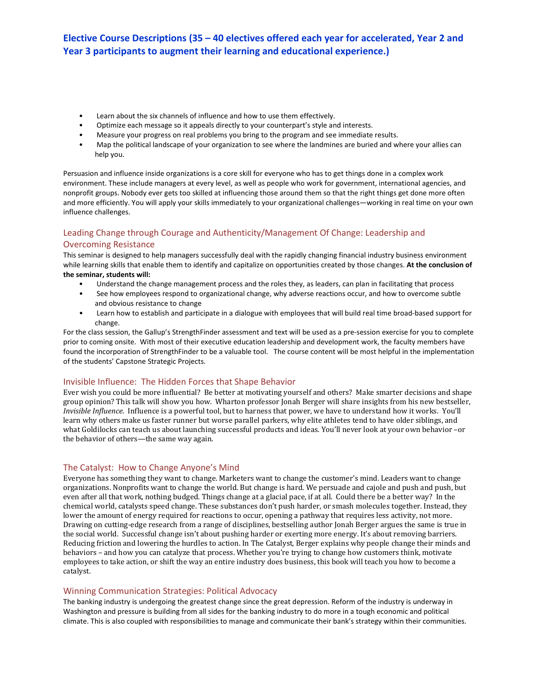- Learn about the six channels of influence and how to use them effectively.
- Optimize each message so it appeals directly to your counterpart's style and interests.
- Measure your progress on real problems you bring to the program and see immediate results.
- Map the political landscape of your organization to see where the landmines are buried and where your allies can help you.

Persuasion and influence inside organizations is a core skill for everyone who has to get things done in a complex work environment. These include managers at every level, as well as people who work for government, international agencies, and nonprofit groups. Nobody ever gets too skilled at influencing those around them so that the right things get done more often and more efficiently. You will apply your skills immediately to your organizational challenges—working in real time on your own influence challenges.

## Leading Change through Courage and Authenticity/Management Of Change: Leadership and Overcoming Resistance

This seminar is designed to help managers successfully deal with the rapidly changing financial industry business environment while learning skills that enable them to identify and capitalize on opportunities created by those changes. **At the conclusion of the seminar, students will:**

- Understand the change management process and the roles they, as leaders, can plan in facilitating that process
- See how employees respond to organizational change, why adverse reactions occur, and how to overcome subtle and obvious resistance to change
- Learn how to establish and participate in a dialogue with employees that will build real time broad-based support for change.

For the class session, the Gallup's StrengthFinder assessment and text will be used as a pre-session exercise for you to complete prior to coming onsite. With most of their executive education leadership and development work, the faculty members have found the incorporation of StrengthFinder to be a valuable tool. The course content will be most helpful in the implementation of the students' Capstone Strategic Projects.

## Invisible Influence: The Hidden Forces that Shape Behavior

Ever wish you could be more influential? Be better at motivating yourself and others? Make smarter decisions and shape group opinion? This talk will show you how. Wharton professor Jonah Berger will share insights from his new bestseller, *Invisible Influence*. Influence is a powerful tool, but to harness that power, we have to understand how it works. You'll learn why others make us faster runner but worse parallel parkers, why elite athletes tend to have older siblings, and what Goldilocks can teach us about launching successful products and ideas. You'll never look at your own behavior –or the behavior of others—the same way again.

## The Catalyst: How to Change Anyone's Mind

Everyone has something they want to change. Marketers want to change the customer's mind. Leaders want to change organizations. Nonprofits want to change the world. But change is hard. We persuade and cajole and push and push, but even after all that work, nothing budged. Things change at a glacial pace, if at all. Could there be a better way? In the chemical world, catalysts speed change. These substances don't push harder, or smash molecules together. Instead, they lower the amount of energy required for reactions to occur, opening a pathway that requires less activity, not more. Drawing on cutting-edge research from a range of disciplines, bestselling author Jonah Berger argues the same is true in the social world. Successful change isn't about pushing harder or exerting more energy. It's about removing barriers. Reducing friction and lowering the hurdles to action. In The Catalyst, Berger explains why people change their minds and behaviors – and how you can catalyze that process. Whether you're trying to change how customers think, motivate employees to take action, or shift the way an entire industry does business, this book will teach you how to become a catalyst.

## Winning Communication Strategies: Political Advocacy

The banking industry is undergoing the greatest change since the great depression. Reform of the industry is underway in Washington and pressure is building from all sides for the banking industry to do more in a tough economic and political climate. This is also coupled with responsibilities to manage and communicate their bank's strategy within their communities.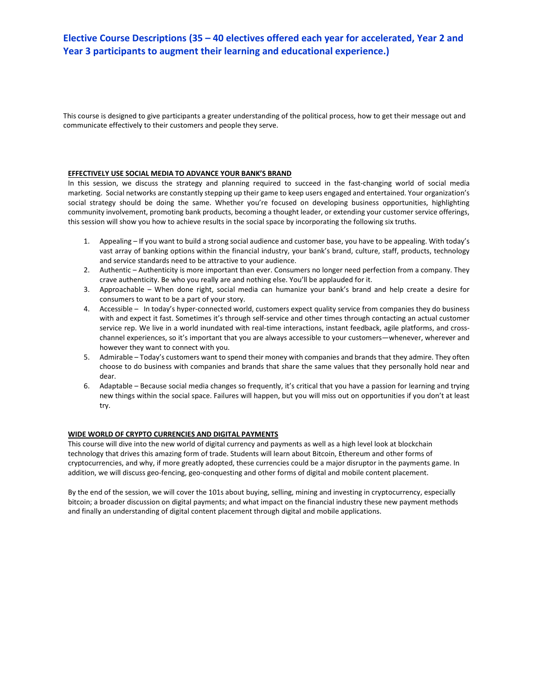This course is designed to give participants a greater understanding of the political process, how to get their message out and communicate effectively to their customers and people they serve.

#### **EFFECTIVELY USE SOCIAL MEDIA TO ADVANCE YOUR BANK'S BRAND**

In this session, we discuss the strategy and planning required to succeed in the fast-changing world of social media marketing. Social networks are constantly stepping up their game to keep users engaged and entertained. Your organization's social strategy should be doing the same. Whether you're focused on developing business opportunities, highlighting community involvement, promoting bank products, becoming a thought leader, or extending your customer service offerings, this session will show you how to achieve results in the social space by incorporating the following six truths.

- 1. Appealing If you want to build a strong social audience and customer base, you have to be appealing. With today's vast array of banking options within the financial industry, your bank's brand, culture, staff, products, technology and service standards need to be attractive to your audience.
- 2. Authentic Authenticity is more important than ever. Consumers no longer need perfection from a company. They crave authenticity. Be who you really are and nothing else. You'll be applauded for it.
- 3. Approachable When done right, social media can humanize your bank's brand and help create a desire for consumers to want to be a part of your story.
- 4. Accessible In today's hyper-connected world, customers expect quality service from companies they do business with and expect it fast. Sometimes it's through self-service and other times through contacting an actual customer service rep. We live in a world inundated with real-time interactions, instant feedback, agile platforms, and crosschannel experiences, so it's important that you are always accessible to your customers—whenever, wherever and however they want to connect with you.
- 5. Admirable Today's customers want to spend their money with companies and brands that they admire. They often choose to do business with companies and brands that share the same values that they personally hold near and dear.
- 6. Adaptable Because social media changes so frequently, it's critical that you have a passion for learning and trying new things within the social space. Failures will happen, but you will miss out on opportunities if you don't at least try.

## **WIDE WORLD OF CRYPTO CURRENCIES AND DIGITAL PAYMENTS**

This course will dive into the new world of digital currency and payments as well as a high level look at blockchain technology that drives this amazing form of trade. Students will learn about Bitcoin, Ethereum and other forms of cryptocurrencies, and why, if more greatly adopted, these currencies could be a major disruptor in the payments game. In addition, we will discuss geo-fencing, geo-conquesting and other forms of digital and mobile content placement.

By the end of the session, we will cover the 101s about buying, selling, mining and investing in cryptocurrency, especially bitcoin; a broader discussion on digital payments; and what impact on the financial industry these new payment methods and finally an understanding of digital content placement through digital and mobile applications.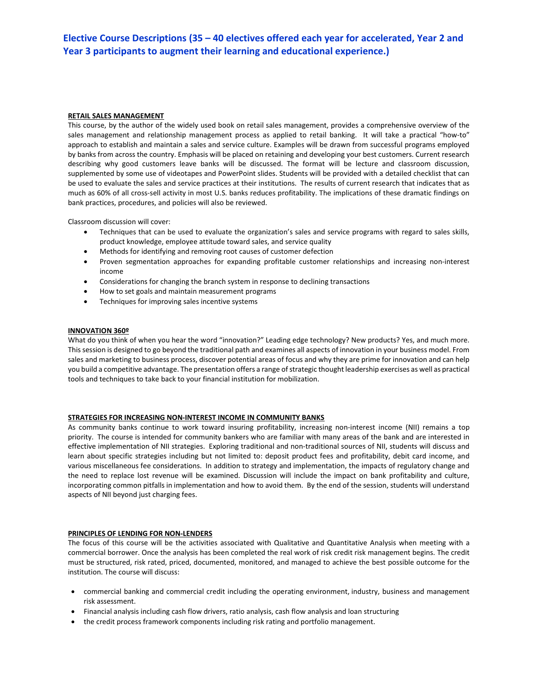## **RETAIL SALES MANAGEMENT**

This course, by the author of the widely used book on retail sales management, provides a comprehensive overview of the sales management and relationship management process as applied to retail banking. It will take a practical "how-to" approach to establish and maintain a sales and service culture. Examples will be drawn from successful programs employed by banks from across the country. Emphasis will be placed on retaining and developing your best customers. Current research describing why good customers leave banks will be discussed. The format will be lecture and classroom discussion, supplemented by some use of videotapes and PowerPoint slides. Students will be provided with a detailed checklist that can be used to evaluate the sales and service practices at their institutions. The results of current research that indicates that as much as 60% of all cross-sell activity in most U.S. banks reduces profitability. The implications of these dramatic findings on bank practices, procedures, and policies will also be reviewed.

Classroom discussion will cover:

- Techniques that can be used to evaluate the organization's sales and service programs with regard to sales skills, product knowledge, employee attitude toward sales, and service quality
- Methods for identifying and removing root causes of customer defection
- Proven segmentation approaches for expanding profitable customer relationships and increasing non-interest income
- Considerations for changing the branch system in response to declining transactions
- How to set goals and maintain measurement programs
- Techniques for improving sales incentive systems

## **INNOVATION 360º**

What do you think of when you hear the word "innovation?" Leading edge technology? New products? Yes, and much more. This session is designed to go beyond the traditional path and examines all aspects of innovation in your business model. From sales and marketing to business process, discover potential areas of focus and why they are prime for innovation and can help you build a competitive advantage. The presentation offers a range of strategic thought leadership exercises as well as practical tools and techniques to take back to your financial institution for mobilization.

## **STRATEGIES FOR INCREASING NON-INTEREST INCOME IN COMMUNITY BANKS**

As community banks continue to work toward insuring profitability, increasing non-interest income (NII) remains a top priority. The course is intended for community bankers who are familiar with many areas of the bank and are interested in effective implementation of NII strategies. Exploring traditional and non-traditional sources of NII, students will discuss and learn about specific strategies including but not limited to: deposit product fees and profitability, debit card income, and various miscellaneous fee considerations. In addition to strategy and implementation, the impacts of regulatory change and the need to replace lost revenue will be examined. Discussion will include the impact on bank profitability and culture, incorporating common pitfalls in implementation and how to avoid them. By the end of the session, students will understand aspects of NII beyond just charging fees.

## **PRINCIPLES OF LENDING FOR NON-LENDERS**

The focus of this course will be the activities associated with Qualitative and Quantitative Analysis when meeting with a commercial borrower. Once the analysis has been completed the real work of risk credit risk management begins. The credit must be structured, risk rated, priced, documented, monitored, and managed to achieve the best possible outcome for the institution. The course will discuss:

- commercial banking and commercial credit including the operating environment, industry, business and management risk assessment.
- Financial analysis including cash flow drivers, ratio analysis, cash flow analysis and loan structuring
- the credit process framework components including risk rating and portfolio management.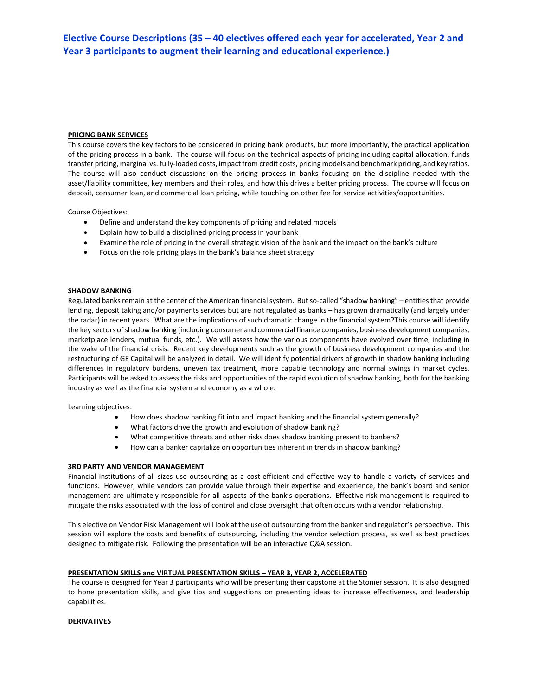## **PRICING BANK SERVICES**

This course covers the key factors to be considered in pricing bank products, but more importantly, the practical application of the pricing process in a bank. The course will focus on the technical aspects of pricing including capital allocation, funds transfer pricing, marginal vs. fully-loaded costs, impact from credit costs, pricing models and benchmark pricing, and key ratios. The course will also conduct discussions on the pricing process in banks focusing on the discipline needed with the asset/liability committee, key members and their roles, and how this drives a better pricing process. The course will focus on deposit, consumer loan, and commercial loan pricing, while touching on other fee for service activities/opportunities.

Course Objectives:

- Define and understand the key components of pricing and related models
- Explain how to build a disciplined pricing process in your bank
- Examine the role of pricing in the overall strategic vision of the bank and the impact on the bank's culture
- Focus on the role pricing plays in the bank's balance sheet strategy

## **SHADOW BANKING**

Regulated banks remain at the center of the American financial system. But so-called "shadow banking" – entities that provide lending, deposit taking and/or payments services but are not regulated as banks – has grown dramatically (and largely under the radar) in recent years. What are the implications of such dramatic change in the financial system?This course will identify the key sectors of shadow banking (including consumer and commercial finance companies, business development companies, marketplace lenders, mutual funds, etc.). We will assess how the various components have evolved over time, including in the wake of the financial crisis. Recent key developments such as the growth of business development companies and the restructuring of GE Capital will be analyzed in detail. We will identify potential drivers of growth in shadow banking including differences in regulatory burdens, uneven tax treatment, more capable technology and normal swings in market cycles. Participants will be asked to assess the risks and opportunities of the rapid evolution of shadow banking, both for the banking industry as well as the financial system and economy as a whole.

Learning objectives:

- How does shadow banking fit into and impact banking and the financial system generally?
- What factors drive the growth and evolution of shadow banking?
- What competitive threats and other risks does shadow banking present to bankers?
- How can a banker capitalize on opportunities inherent in trends in shadow banking?

## **3RD PARTY AND VENDOR MANAGEMENT**

Financial institutions of all sizes use outsourcing as a cost-efficient and effective way to handle a variety of services and functions. However, while vendors can provide value through their expertise and experience, the bank's board and senior management are ultimately responsible for all aspects of the bank's operations. Effective risk management is required to mitigate the risks associated with the loss of control and close oversight that often occurs with a vendor relationship.

This elective on Vendor Risk Management will look at the use of outsourcing from the banker and regulator's perspective. This session will explore the costs and benefits of outsourcing, including the vendor selection process, as well as best practices designed to mitigate risk. Following the presentation will be an interactive Q&A session.

## **PRESENTATION SKILLS and VIRTUAL PRESENTATION SKILLS – YEAR 3, YEAR 2, ACCELERATED**

The course is designed for Year 3 participants who will be presenting their capstone at the Stonier session. It is also designed to hone presentation skills, and give tips and suggestions on presenting ideas to increase effectiveness, and leadership capabilities.

## **DERIVATIVES**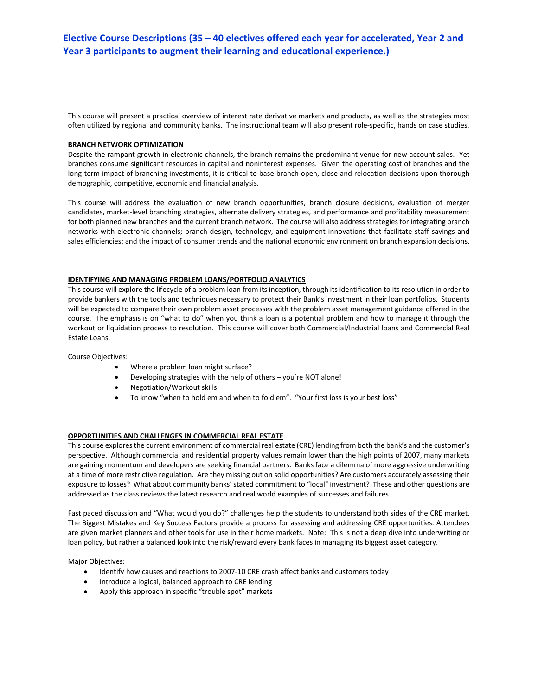This course will present a practical overview of interest rate derivative markets and products, as well as the strategies most often utilized by regional and community banks. The instructional team will also present role-specific, hands on case studies.

## **BRANCH NETWORK OPTIMIZATION**

Despite the rampant growth in electronic channels, the branch remains the predominant venue for new account sales. Yet branches consume significant resources in capital and noninterest expenses. Given the operating cost of branches and the long-term impact of branching investments, it is critical to base branch open, close and relocation decisions upon thorough demographic, competitive, economic and financial analysis.

This course will address the evaluation of new branch opportunities, branch closure decisions, evaluation of merger candidates, market-level branching strategies, alternate delivery strategies, and performance and profitability measurement for both planned new branches and the current branch network. The course will also address strategies for integrating branch networks with electronic channels; branch design, technology, and equipment innovations that facilitate staff savings and sales efficiencies; and the impact of consumer trends and the national economic environment on branch expansion decisions.

## **IDENTIFYING AND MANAGING PROBLEM LOANS/PORTFOLIO ANALYTICS**

This course will explore the lifecycle of a problem loan from its inception, through its identification to its resolution in order to provide bankers with the tools and techniques necessary to protect their Bank's investment in their loan portfolios. Students will be expected to compare their own problem asset processes with the problem asset management guidance offered in the course. The emphasis is on "what to do" when you think a loan is a potential problem and how to manage it through the workout or liquidation process to resolution. This course will cover both Commercial/Industrial loans and Commercial Real Estate Loans.

Course Objectives:

- Where a problem loan might surface?
- Developing strategies with the help of others you're NOT alone!
- Negotiation/Workout skills
- To know "when to hold em and when to fold em". "Your first loss is your best loss"

## **OPPORTUNITIES AND CHALLENGES IN COMMERCIAL REAL ESTATE**

This course explores the current environment of commercial real estate (CRE) lending from both the bank's and the customer's perspective. Although commercial and residential property values remain lower than the high points of 2007, many markets are gaining momentum and developers are seeking financial partners. Banks face a dilemma of more aggressive underwriting at a time of more restrictive regulation. Are they missing out on solid opportunities? Are customers accurately assessing their exposure to losses? What about community banks' stated commitment to "local" investment? These and other questions are addressed as the class reviews the latest research and real world examples of successes and failures.

Fast paced discussion and "What would you do?" challenges help the students to understand both sides of the CRE market. The Biggest Mistakes and Key Success Factors provide a process for assessing and addressing CRE opportunities. Attendees are given market planners and other tools for use in their home markets. Note: This is not a deep dive into underwriting or loan policy, but rather a balanced look into the risk/reward every bank faces in managing its biggest asset category.

Major Objectives:

- Identify how causes and reactions to 2007-10 CRE crash affect banks and customers today
- Introduce a logical, balanced approach to CRE lending
- Apply this approach in specific "trouble spot" markets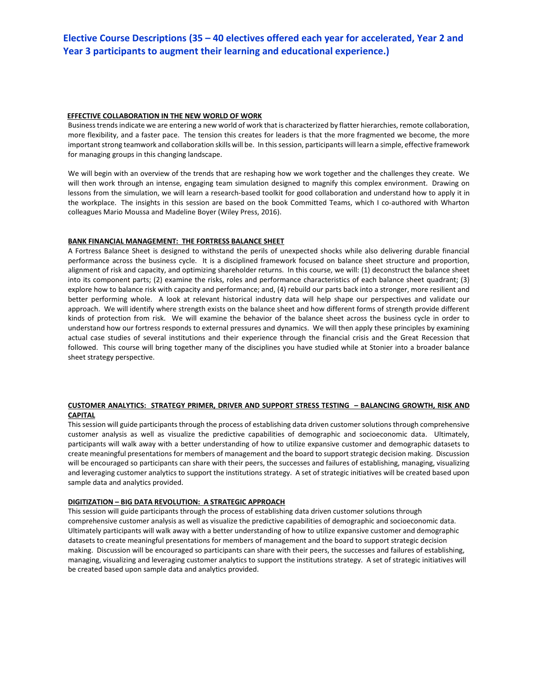#### **EFFECTIVE COLLABORATION IN THE NEW WORLD OF WORK**

Business trends indicate we are entering a new world of work that is characterized by flatter hierarchies, remote collaboration, more flexibility, and a faster pace. The tension this creates for leaders is that the more fragmented we become, the more important strong teamwork and collaboration skills will be. In this session, participants will learn a simple, effective framework for managing groups in this changing landscape.

We will begin with an overview of the trends that are reshaping how we work together and the challenges they create. We will then work through an intense, engaging team simulation designed to magnify this complex environment. Drawing on lessons from the simulation, we will learn a research-based toolkit for good collaboration and understand how to apply it in the workplace. The insights in this session are based on the book Committed Teams, which I co-authored with Wharton colleagues Mario Moussa and Madeline Boyer (Wiley Press, 2016).

## **BANK FINANCIAL MANAGEMENT: THE FORTRESS BALANCE SHEET**

A Fortress Balance Sheet is designed to withstand the perils of unexpected shocks while also delivering durable financial performance across the business cycle. It is a disciplined framework focused on balance sheet structure and proportion, alignment of risk and capacity, and optimizing shareholder returns. In this course, we will: (1) deconstruct the balance sheet into its component parts; (2) examine the risks, roles and performance characteristics of each balance sheet quadrant; (3) explore how to balance risk with capacity and performance; and, (4) rebuild our parts back into a stronger, more resilient and better performing whole. A look at relevant historical industry data will help shape our perspectives and validate our approach. We will identify where strength exists on the balance sheet and how different forms of strength provide different kinds of protection from risk. We will examine the behavior of the balance sheet across the business cycle in order to understand how our fortress responds to external pressures and dynamics. We will then apply these principles by examining actual case studies of several institutions and their experience through the financial crisis and the Great Recession that followed. This course will bring together many of the disciplines you have studied while at Stonier into a broader balance sheet strategy perspective.

## **CUSTOMER ANALYTICS: STRATEGY PRIMER, DRIVER AND SUPPORT STRESS TESTING – BALANCING GROWTH, RISK AND CAPITAL**

This session will guide participants through the process of establishing data driven customer solutions through comprehensive customer analysis as well as visualize the predictive capabilities of demographic and socioeconomic data. Ultimately, participants will walk away with a better understanding of how to utilize expansive customer and demographic datasets to create meaningful presentations for members of management and the board to support strategic decision making. Discussion will be encouraged so participants can share with their peers, the successes and failures of establishing, managing, visualizing and leveraging customer analytics to support the institutions strategy. A set of strategic initiatives will be created based upon sample data and analytics provided.

#### **DIGITIZATION – BIG DATA REVOLUTION: A STRATEGIC APPROACH**

This session will guide participants through the process of establishing data driven customer solutions through comprehensive customer analysis as well as visualize the predictive capabilities of demographic and socioeconomic data. Ultimately participants will walk away with a better understanding of how to utilize expansive customer and demographic datasets to create meaningful presentations for members of management and the board to support strategic decision making. Discussion will be encouraged so participants can share with their peers, the successes and failures of establishing, managing, visualizing and leveraging customer analytics to support the institutions strategy. A set of strategic initiatives will be created based upon sample data and analytics provided.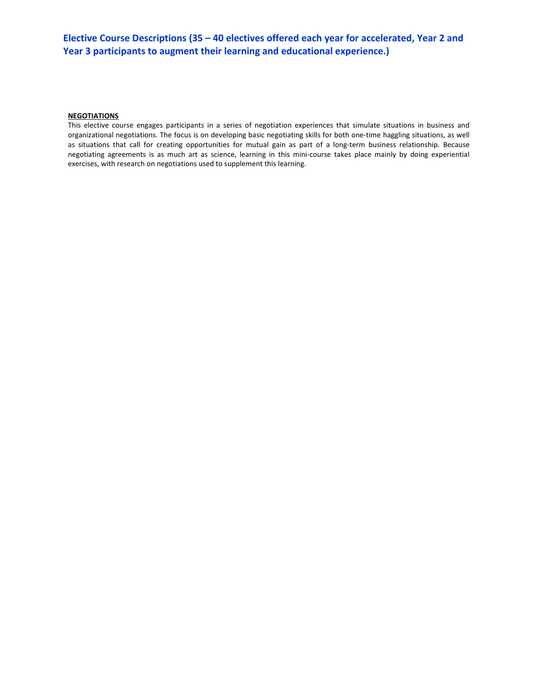## **NEGOTIATIONS**

This elective course engages participants in a series of negotiation experiences that simulate situations in business and organizational negotiations. The focus is on developing basic negotiating skills for both one-time haggling situations, as well as situations that call for creating opportunities for mutual gain as part of a long-term business relationship. Because negotiating agreements is as much art as science, learning in this mini-course takes place mainly by doing experiential exercises, with research on negotiations used to supplement this learning.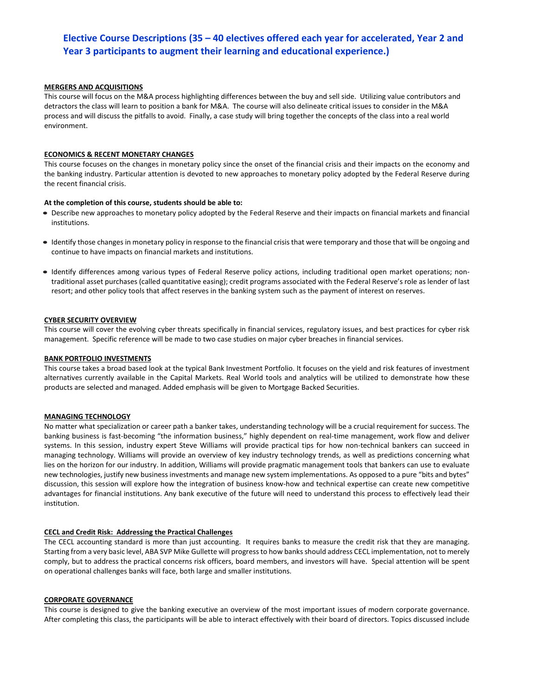## **MERGERS AND ACQUISITIONS**

This course will focus on the M&A process highlighting differences between the buy and sell side. Utilizing value contributors and detractors the class will learn to position a bank for M&A. The course will also delineate critical issues to consider in the M&A process and will discuss the pitfalls to avoid. Finally, a case study will bring together the concepts of the class into a real world environment.

#### **ECONOMICS & RECENT MONETARY CHANGES**

This course focuses on the changes in monetary policy since the onset of the financial crisis and their impacts on the economy and the banking industry. Particular attention is devoted to new approaches to monetary policy adopted by the Federal Reserve during the recent financial crisis.

#### **At the completion of this course, students should be able to:**

- Describe new approaches to monetary policy adopted by the Federal Reserve and their impacts on financial markets and financial institutions.
- Identify those changes in monetary policy in response to the financial crisis that were temporary and those that will be ongoing and continue to have impacts on financial markets and institutions.
- Identify differences among various types of Federal Reserve policy actions, including traditional open market operations; nontraditional asset purchases (called quantitative easing); credit programs associated with the Federal Reserve's role as lender of last resort; and other policy tools that affect reserves in the banking system such as the payment of interest on reserves.

#### **CYBER SECURITY OVERVIEW**

This course will cover the evolving cyber threats specifically in financial services, regulatory issues, and best practices for cyber risk management. Specific reference will be made to two case studies on major cyber breaches in financial services.

#### **BANK PORTFOLIO INVESTMENTS**

This course takes a broad based look at the typical Bank Investment Portfolio. It focuses on the yield and risk features of investment alternatives currently available in the Capital Markets. Real World tools and analytics will be utilized to demonstrate how these products are selected and managed. Added emphasis will be given to Mortgage Backed Securities.

#### **MANAGING TECHNOLOGY**

No matter what specialization or career path a banker takes, understanding technology will be a crucial requirement for success. The banking business is fast-becoming "the information business," highly dependent on real-time management, work flow and deliver systems. In this session, industry expert Steve Williams will provide practical tips for how non-technical bankers can succeed in managing technology. Williams will provide an overview of key industry technology trends, as well as predictions concerning what lies on the horizon for our industry. In addition, Williams will provide pragmatic management tools that bankers can use to evaluate new technologies, justify new business investments and manage new system implementations. As opposed to a pure "bits and bytes" discussion, this session will explore how the integration of business know-how and technical expertise can create new competitive advantages for financial institutions. Any bank executive of the future will need to understand this process to effectively lead their institution.

#### **CECL and Credit Risk: Addressing the Practical Challenges**

The CECL accounting standard is more than just accounting. It requires banks to measure the credit risk that they are managing. Starting from a very basic level, ABA SVP Mike Gullette will progress to how banks should address CECL implementation, not to merely comply, but to address the practical concerns risk officers, board members, and investors will have. Special attention will be spent on operational challenges banks will face, both large and smaller institutions.

#### **CORPORATE GOVERNANCE**

This course is designed to give the banking executive an overview of the most important issues of modern corporate governance. After completing this class, the participants will be able to interact effectively with their board of directors. Topics discussed include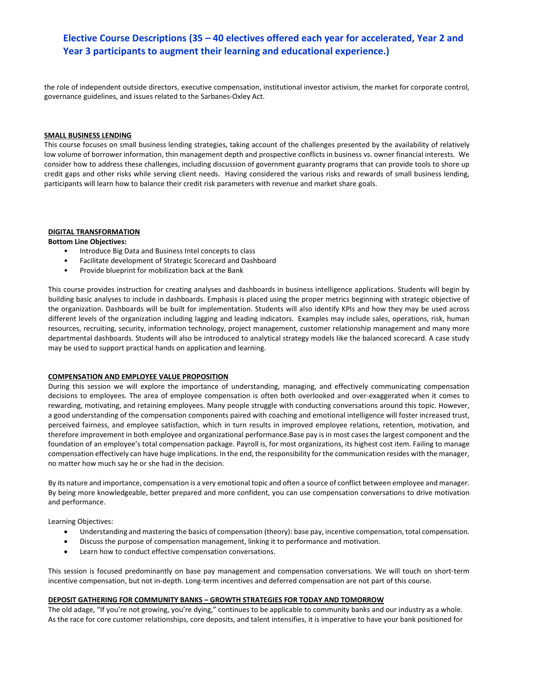the role of independent outside directors, executive compensation, institutional investor activism, the market for corporate control, governance guidelines, and issues related to the Sarbanes-Oxley Act.

#### **SMALL BUSINESS LENDING**

This course focuses on small business lending strategies, taking account of the challenges presented by the availability of relatively low volume of borrower information, thin management depth and prospective conflicts in business vs. owner financial interests. We consider how to address these challenges, including discussion of government guaranty programs that can provide tools to shore up credit gaps and other risks while serving client needs. Having considered the various risks and rewards of small business lending, participants will learn how to balance their credit risk parameters with revenue and market share goals.

#### **DIGITAL TRANSFORMATION Bottom Line Objectives:**

- Introduce Big Data and Business Intel concepts to class
- Facilitate development of Strategic Scorecard and Dashboard
- Provide blueprint for mobilization back at the Bank

This course provides instruction for creating analyses and dashboards in business intelligence applications. Students will begin by building basic analyses to include in dashboards. Emphasis is placed using the proper metrics beginning with strategic objective of the organization. Dashboards will be built for implementation. Students will also identify KPIs and how they may be used across different levels of the organization including lagging and leading indicators. Examples may include sales, operations, risk, human resources, recruiting, security, information technology, project management, customer relationship management and many more departmental dashboards. Students will also be introduced to analytical strategy models like the balanced scorecard. A case study may be used to support practical hands on application and learning.

#### **COMPENSATION AND EMPLOYEE VALUE PROPOSITION**

During this session we will explore the importance of understanding, managing, and effectively communicating compensation decisions to employees. The area of employee compensation is often both overlooked and over-exaggerated when it comes to rewarding, motivating, and retaining employees. Many people struggle with conducting conversations around this topic. However, a good understanding of the compensation components paired with coaching and emotional intelligence will foster increased trust, perceived fairness, and employee satisfaction, which in turn results in improved employee relations, retention, motivation, and therefore improvement in both employee and organizational performance.Base pay is in most cases the largest component and the foundation of an employee's total compensation package. Payroll is, for most organizations, its highest cost item. Failing to manage compensation effectively can have huge implications. In the end, the responsibility for the communication resides with the manager, no matter how much say he or she had in the decision.

By its nature and importance, compensation is a very emotional topic and often a source of conflict between employee and manager. By being more knowledgeable, better prepared and more confident, you can use compensation conversations to drive motivation and performance.

Learning Objectives:

- Understanding and mastering the basics of compensation (theory): base pay, incentive compensation, total compensation.
- Discuss the purpose of compensation management, linking it to performance and motivation.
- Learn how to conduct effective compensation conversations.

This session is focused predominantly on base pay management and compensation conversations. We will touch on short-term incentive compensation, but not in-depth. Long-term incentives and deferred compensation are not part of this course.

## **DEPOSIT GATHERING FOR COMMUNITY BANKS – GROWTH STRATEGIES FOR TODAY AND TOMORROW**

The old adage, "If you're not growing, you're dying," continues to be applicable to community banks and our industry as a whole. As the race for core customer relationships, core deposits, and talent intensifies, it is imperative to have your bank positioned for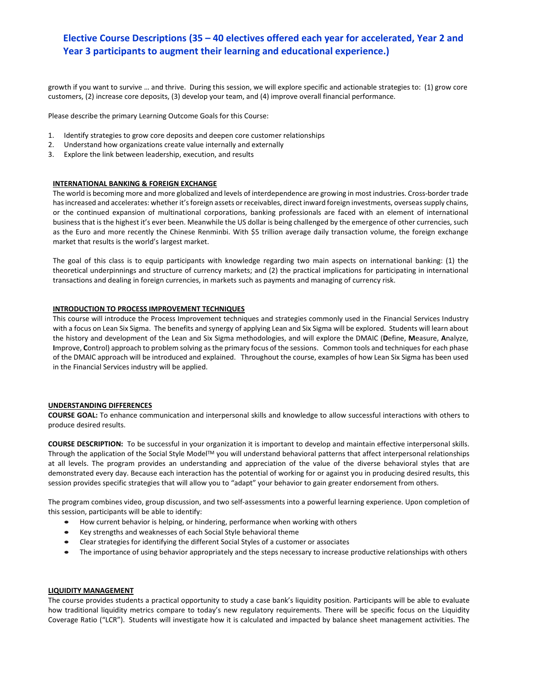growth if you want to survive … and thrive. During this session, we will explore specific and actionable strategies to: (1) grow core customers, (2) increase core deposits, (3) develop your team, and (4) improve overall financial performance.

Please describe the primary Learning Outcome Goals for this Course:

- 1. Identify strategies to grow core deposits and deepen core customer relationships
- 2. Understand how organizations create value internally and externally
- 3. Explore the link between leadership, execution, and results

## **INTERNATIONAL BANKING & FOREIGN EXCHANGE**

The world is becoming more and more globalized and levels of interdependence are growing in most industries. Cross-border trade has increased and accelerates: whether it's foreign assets or receivables, direct inward foreign investments, overseas supply chains, or the continued expansion of multinational corporations, banking professionals are faced with an element of international business that is the highest it's ever been. Meanwhile the US dollar is being challenged by the emergence of other currencies, such as the Euro and more recently the Chinese Renminbi. With \$5 trillion average daily transaction volume, the foreign exchange market that results is the world's largest market.

The goal of this class is to equip participants with knowledge regarding two main aspects on international banking: (1) the theoretical underpinnings and structure of currency markets; and (2) the practical implications for participating in international transactions and dealing in foreign currencies, in markets such as payments and managing of currency risk.

## **INTRODUCTION TO PROCESS IMPROVEMENT TECHNIQUES**

This course will introduce the Process Improvement techniques and strategies commonly used in the Financial Services Industry with a focus on Lean Six Sigma. The benefits and synergy of applying Lean and Six Sigma will be explored. Students will learn about the history and development of the Lean and Six Sigma methodologies, and will explore the DMAIC (**D**efine, **M**easure, **A**nalyze, **I**mprove, **C**ontrol) approach to problem solving as the primary focus of the sessions. Common tools and techniques for each phase of the DMAIC approach will be introduced and explained. Throughout the course, examples of how Lean Six Sigma has been used in the Financial Services industry will be applied.

#### **UNDERSTANDING DIFFERENCES**

**COURSE GOAL:** To enhance communication and interpersonal skills and knowledge to allow successful interactions with others to produce desired results.

**COURSE DESCRIPTION:** To be successful in your organization it is important to develop and maintain effective interpersonal skills. Through the application of the Social Style Model™ you will understand behavioral patterns that affect interpersonal relationships at all levels. The program provides an understanding and appreciation of the value of the diverse behavioral styles that are demonstrated every day. Because each interaction has the potential of working for or against you in producing desired results, this session provides specific strategies that will allow you to "adapt" your behavior to gain greater endorsement from others.

The program combines video, group discussion, and two self-assessments into a powerful learning experience. Upon completion of this session, participants will be able to identify:

- How current behavior is helping, or hindering, performance when working with others
- Key strengths and weaknesses of each Social Style behavioral theme
- Clear strategies for identifying the different Social Styles of a customer or associates
- The importance of using behavior appropriately and the steps necessary to increase productive relationships with others

#### **LIQUIDITY MANAGEMENT**

The course provides students a practical opportunity to study a case bank's liquidity position. Participants will be able to evaluate how traditional liquidity metrics compare to today's new regulatory requirements. There will be specific focus on the Liquidity Coverage Ratio ("LCR"). Students will investigate how it is calculated and impacted by balance sheet management activities. The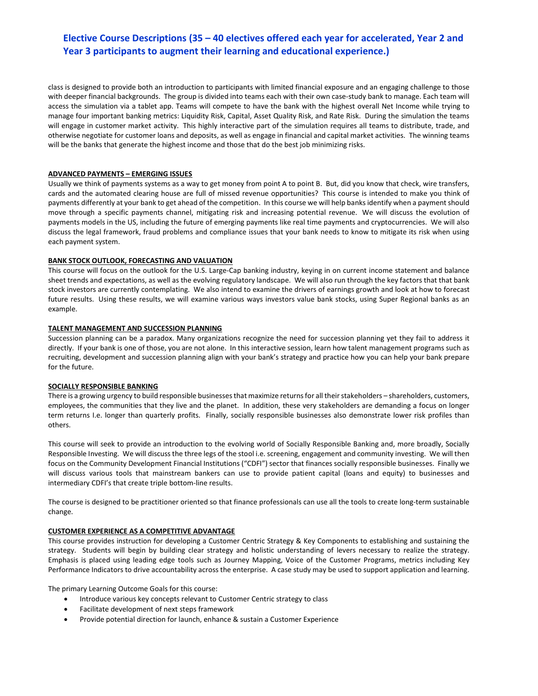class is designed to provide both an introduction to participants with limited financial exposure and an engaging challenge to those with deeper financial backgrounds. The group is divided into teams each with their own case-study bank to manage. Each team will access the simulation via a tablet app. Teams will compete to have the bank with the highest overall Net Income while trying to manage four important banking metrics: Liquidity Risk, Capital, Asset Quality Risk, and Rate Risk. During the simulation the teams will engage in customer market activity. This highly interactive part of the simulation requires all teams to distribute, trade, and otherwise negotiate for customer loans and deposits, as well as engage in financial and capital market activities. The winning teams will be the banks that generate the highest income and those that do the best job minimizing risks.

## **ADVANCED PAYMENTS – EMERGING ISSUES**

Usually we think of payments systems as a way to get money from point A to point B. But, did you know that check, wire transfers, cards and the automated clearing house are full of missed revenue opportunities? This course is intended to make you think of payments differently at your bank to get ahead of the competition. In this course we will help banks identify when a payment should move through a specific payments channel, mitigating risk and increasing potential revenue. We will discuss the evolution of payments models in the US, including the future of emerging payments like real time payments and cryptocurrencies. We will also discuss the legal framework, fraud problems and compliance issues that your bank needs to know to mitigate its risk when using each payment system.

## **BANK STOCK OUTLOOK, FORECASTING AND VALUATION**

This course will focus on the outlook for the U.S. Large-Cap banking industry, keying in on current income statement and balance sheet trends and expectations, as well as the evolving regulatory landscape. We will also run through the key factors that that bank stock investors are currently contemplating. We also intend to examine the drivers of earnings growth and look at how to forecast future results. Using these results, we will examine various ways investors value bank stocks, using Super Regional banks as an example.

## **TALENT MANAGEMENT AND SUCCESSION PLANNING**

Succession planning can be a paradox. Many organizations recognize the need for succession planning yet they fail to address it directly. If your bank is one of those, you are not alone. In this interactive session, learn how talent management programs such as recruiting, development and succession planning align with your bank's strategy and practice how you can help your bank prepare for the future.

## **SOCIALLY RESPONSIBLE BANKING**

There is a growing urgency to build responsible businesses that maximize returns for all their stakeholders – shareholders, customers, employees, the communities that they live and the planet. In addition, these very stakeholders are demanding a focus on longer term returns I.e. longer than quarterly profits. Finally, socially responsible businesses also demonstrate lower risk profiles than others.

This course will seek to provide an introduction to the evolving world of Socially Responsible Banking and, more broadly, Socially Responsible Investing. We will discuss the three legs of the stool i.e. screening, engagement and community investing. We will then focus on the Community Development Financial Institutions ("CDFI") sector that finances socially responsible businesses. Finally we will discuss various tools that mainstream bankers can use to provide patient capital (loans and equity) to businesses and intermediary CDFI's that create triple bottom-line results.

The course is designed to be practitioner oriented so that finance professionals can use all the tools to create long-term sustainable change.

## **CUSTOMER EXPERIENCE AS A COMPETITIVE ADVANTAGE**

This course provides instruction for developing a Customer Centric Strategy & Key Components to establishing and sustaining the strategy. Students will begin by building clear strategy and holistic understanding of levers necessary to realize the strategy. Emphasis is placed using leading edge tools such as Journey Mapping, Voice of the Customer Programs, metrics including Key Performance Indicators to drive accountability across the enterprise. A case study may be used to support application and learning.

The primary Learning Outcome Goals for this course:

- Introduce various key concepts relevant to Customer Centric strategy to class
- Facilitate development of next steps framework
- Provide potential direction for launch, enhance & sustain a Customer Experience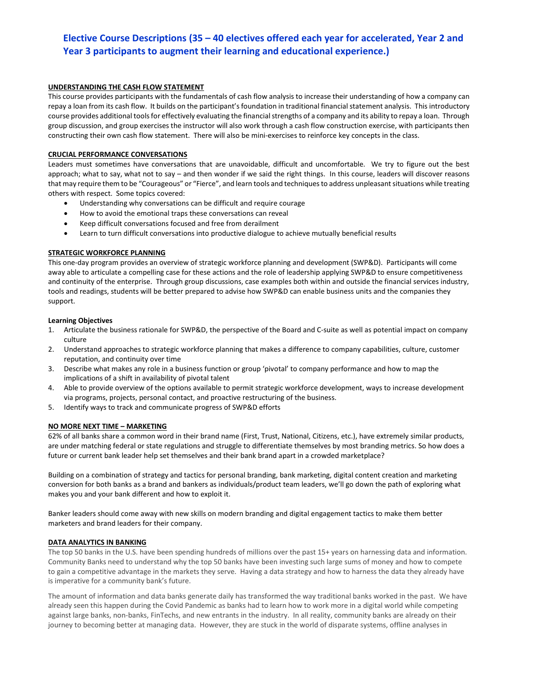## **UNDERSTANDING THE CASH FLOW STATEMENT**

This course provides participants with the fundamentals of cash flow analysis to increase their understanding of how a company can repay a loan from its cash flow. It builds on the participant's foundation in traditional financial statement analysis. This introductory course provides additional tools for effectively evaluating the financial strengths of a company and its ability to repay a loan. Through group discussion, and group exercises the instructor will also work through a cash flow construction exercise, with participants then constructing their own cash flow statement. There will also be mini-exercises to reinforce key concepts in the class.

## **CRUCIAL PERFORMANCE CONVERSATIONS**

Leaders must sometimes have conversations that are unavoidable, difficult and uncomfortable. We try to figure out the best approach; what to say, what not to say – and then wonder if we said the right things. In this course, leaders will discover reasons that may require them to be "Courageous" or "Fierce", and learn tools and techniques to address unpleasant situations while treating others with respect. Some topics covered:

- Understanding why conversations can be difficult and require courage
- How to avoid the emotional traps these conversations can reveal
- Keep difficult conversations focused and free from derailment
- Learn to turn difficult conversations into productive dialogue to achieve mutually beneficial results

## **STRATEGIC WORKFORCE PLANNING**

This one-day program provides an overview of strategic workforce planning and development (SWP&D). Participants will come away able to articulate a compelling case for these actions and the role of leadership applying SWP&D to ensure competitiveness and continuity of the enterprise. Through group discussions, case examples both within and outside the financial services industry, tools and readings, students will be better prepared to advise how SWP&D can enable business units and the companies they support.

## **Learning Objectives**

- 1. Articulate the business rationale for SWP&D, the perspective of the Board and C-suite as well as potential impact on company culture
- 2. Understand approaches to strategic workforce planning that makes a difference to company capabilities, culture, customer reputation, and continuity over time
- 3. Describe what makes any role in a business function or group 'pivotal' to company performance and how to map the implications of a shift in availability of pivotal talent
- 4. Able to provide overview of the options available to permit strategic workforce development, ways to increase development via programs, projects, personal contact, and proactive restructuring of the business.
- 5. Identify ways to track and communicate progress of SWP&D efforts

## **NO MORE NEXT TIME – MARKETING**

62% of all banks share a common word in their brand name (First, Trust, National, Citizens, etc.), have extremely similar products, are under matching federal or state regulations and struggle to differentiate themselves by most branding metrics. So how does a future or current bank leader help set themselves and their bank brand apart in a crowded marketplace?

Building on a combination of strategy and tactics for personal branding, bank marketing, digital content creation and marketing conversion for both banks as a brand and bankers as individuals/product team leaders, we'll go down the path of exploring what makes you and your bank different and how to exploit it.

Banker leaders should come away with new skills on modern branding and digital engagement tactics to make them better marketers and brand leaders for their company.

## **DATA ANALYTICS IN BANKING**

The top 50 banks in the U.S. have been spending hundreds of millions over the past 15+ years on harnessing data and information. Community Banks need to understand why the top 50 banks have been investing such large sums of money and how to compete to gain a competitive advantage in the markets they serve. Having a data strategy and how to harness the data they already have is imperative for a community bank's future.

The amount of information and data banks generate daily has transformed the way traditional banks worked in the past. We have already seen this happen during the Covid Pandemic as banks had to learn how to work more in a digital world while competing against large banks, non-banks, FinTechs, and new entrants in the industry. In all reality, community banks are already on their journey to becoming better at managing data. However, they are stuck in the world of disparate systems, offline analyses in